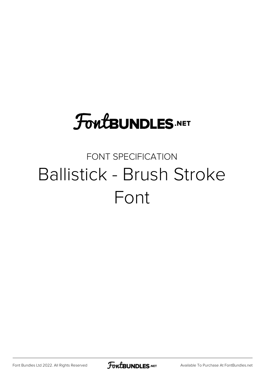# **FoutBUNDLES.NET**

## FONT SPECIFICATION Ballistick - Brush Stroke Font

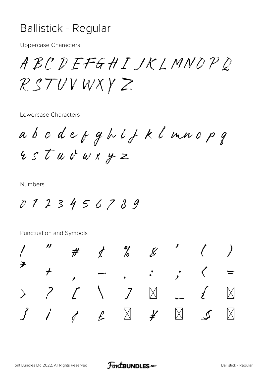#### **Ballistick - Regular**

**Uppercase Characters** 

ABCDEFGHIJKLMNOPD RSTUVWXYZ

Lowercase Characters

abcdefghijklmnopg rstuvwxyz

**Numbers** 

0123456789

Punctuation and Symbols

|  |  | $\begin{array}{cccccccc} 1 & 0 & \# & \sharp & \emptyset & \emptyset & \emptyset & \end{array} \qquad \begin{array}{cccccccc} 0 & 0 & \emptyset & \emptyset & \emptyset & \end{array} \qquad \begin{array}{cccccccc} 0 & 0 & 0 & \emptyset & \emptyset & \emptyset & \emptyset & \emptyset & \emptyset & \emptyset & \end{array}$                                                                                                            |  |  |
|--|--|----------------------------------------------------------------------------------------------------------------------------------------------------------------------------------------------------------------------------------------------------------------------------------------------------------------------------------------------------------------------------------------------------------------------------------------------|--|--|
|  |  | * * , , $\langle  =  $                                                                                                                                                                                                                                                                                                                                                                                                                       |  |  |
|  |  | $>$ ? $\angle$ \ $\angle$ \ $\triangle$ \ $\triangle$ \ $\angle$ \ $\triangle$ \ $\triangle$ \ $\triangle$ \ $\triangle$ \ $\triangle$ \ $\triangle$ \ $\triangle$ \ $\triangle$ \ $\triangle$ \ $\triangle$ \ $\triangle$ \ $\triangle$ \ $\triangle$ \ $\triangle$ \ $\triangle$ \ $\triangle$ \ $\triangle$ \ $\triangle$ \ $\triangle$ \ $\triangle$ \ $\triangle$ \ $\triangle$ \ $\triangle$ \ $\triangle$ \ $\triangle$ \ $\triangle$ |  |  |
|  |  | $3$ i $4$ $6$ $8$ $7$ $1$ $5$ "                                                                                                                                                                                                                                                                                                                                                                                                              |  |  |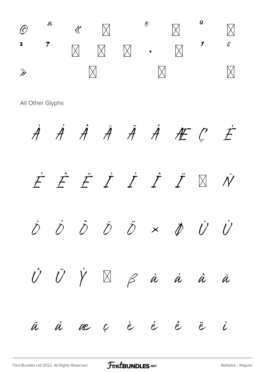

All Other Glyphs

À Ả Ả Ả Ả Ả <del>Á</del> C  $\dot{\mathcal{F}}$ FFFIIII  $\bar{\mathcal{N}}$ Ð  $\dot{\mathcal{O}}$   $\hat{\mathcal{O}}$  $\overline{D}$   $\overline{D}$  x  $\dot U$  $\dot U$  $\dot{\mathcal{D}}$  $\phi$  $\hat{U}$   $\hat{U}$   $\hat{Y}$  $\begin{array}{ccccc} & & \mathsf{p} & \mathsf{p} & \mathsf{p} & \mathsf{p} \end{array}$  $\mathring{a}$  $\hat{a}$  $\bar{\mu}$  $\overset{\circ}{\mathcal{A}}$ ae c è  $\dot{e}$  $\hat{e}$  $\dot{L}$  $\ddot{a}$  $\ddot{e}$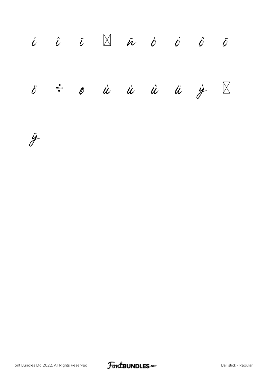

ÿ

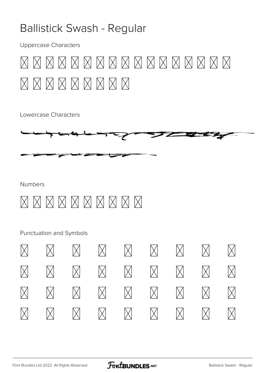### **Ballistick Swash - Regular**

**Uppercase Characters** 



Lowercase Characters



**Numbers** 

## 0123456789

Punctuation and Symbols

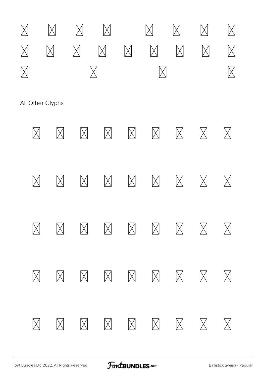

All Other Glyphs